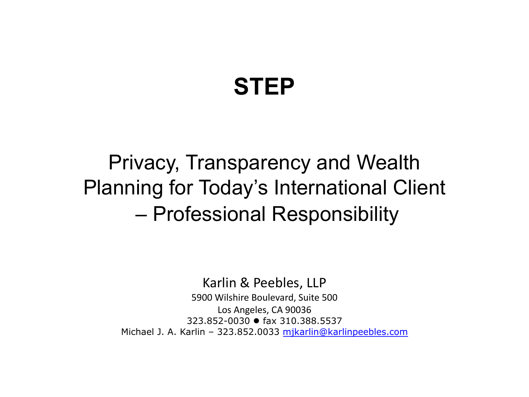#### **STEP**

Privacy, Transparency and Wealth Planning for Today's International Client – Professional Responsibility

Karlin & Peebles, LLP

5900 Wilshire Boulevard, Suite 500 Los Angeles, CA 90036 323.852-0030 ● fax 310.388.5537 Michael J. A. Karlin – 323.852.0033 mjkarlin@karlinpeebles.com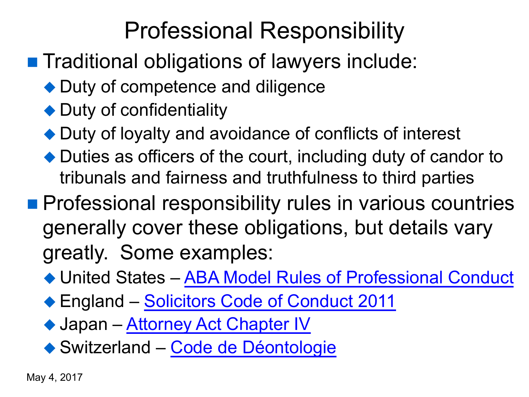# Professional Responsibility

- Traditional obligations of lawyers include:
	- $\blacklozenge$  Duty of compet[ence and diligence](http://www.americanbar.org/groups/professional_responsibility/publications/model_rules_of_professional_conduct/model_rules_of_professional_conduct_table_of_contents.html)
	- $\blacklozenge$  Duty of confidentiality
	- $\blacklozenge$  Duty of l[oyalty and avoidance of](http://www.japaneselawtranslation.go.jp/law/detail/?id=1878&vm=04&re=02) conflicts of interest
	- $\blacklozenge$  Duties as offic[ers of the court, includ](https://www.sav-fsa.ch/fr/anwaltsrecht/berufsregeln-national.html)ing duty of ca tribunals and fairness and truthfulness to third part
- **n Professional responsibility rules in various countries** generally cover these obligations, but details greatly. Some examples:
	- ◆ United States ABA Model Rules of Professional
	- ◆ England Solicitors Code of Conduct 2011
	- ◆ Japan Attorney Act Chapter IV
	- ◆ Switzerland Code de Déontologie

May 4, 2017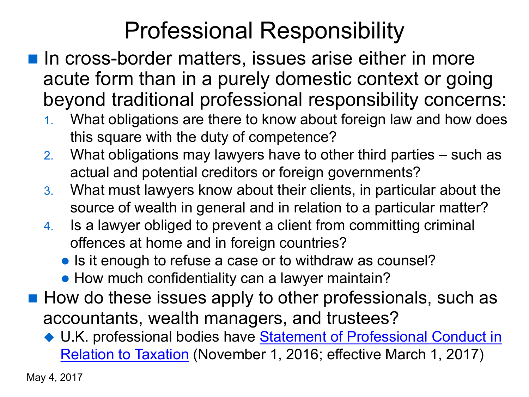# Professional Responsibility

- $\blacksquare$  In cross-border matters, issues arise either in metric acute form than in a purely domestic context or beyond traditional professional responsibility cor
	- What obligations are there to know about foreign law and how does this square with the duty of competence?
	- 2. What obligations may lawyers have to other third parties  $$ actual and potential creditors or foreign governments?
	- 3. What must lawyers know about their clients, in particular about their source of wealth in general and in relation to a particular m
	- 4. Is a lawyer obliged to prevent a client from committing crime offences at home and in foreign countries?
		- Is it enough to refuse a case or to withdraw as counsel?
		- How much confidentiality can a lawyer maintain?
- $\blacksquare$  How do these issues apply to other professionals, su accountants, wealth managers, and trustees?
	- ◆ U.K. professional bodies have **Statement of Professional Co** Relation to Taxation (November 1, 2016; effective March 1, 2016)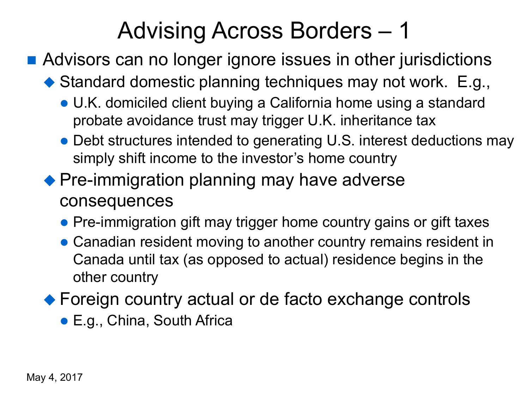## Advising Across Borders – 1

- Advisors can no longer ignore issues in other jurisdictions
	- $\blacklozenge$  Standard domestic planning techniques may not work. E.g.,
		- U.K. domiciled client buying a California home using a standard probate avoidance trust may trigger U.K. inheritance tax
		- Debt structures intended to generating U.S. interest deductions may simply shift income to the investor's home country
	- $\blacklozenge$  Pre-immigration planning may have adverse consequences
		- Pre-immigration gift may trigger home country gains or gift taxes
		- Canadian resident moving to another country remains resident in Canada until tax (as opposed to actual) residence begins in the other country
	- $\blacklozenge$  Foreign country actual or de facto exchange controls
		- E.g., China, South Africa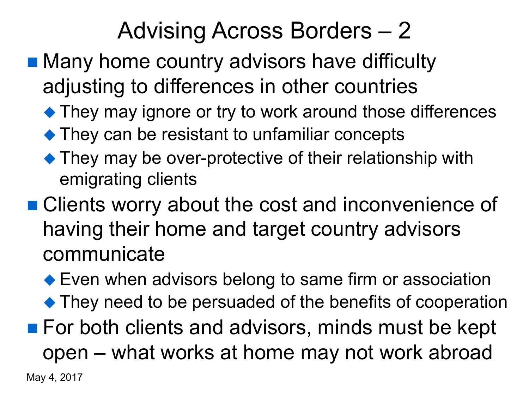## Advising Across Borders – 2

- Many home country advisors have difficulty adjusting to differences in other countries
	- $\blacklozenge$  They may ignore or try to work around those differences
	- $\blacklozenge$  They can be resistant to unfamiliar concepts
	- $\blacktriangleright$  They may be over-protective of their relationship with emigrating clients
- Clients worry about the cost and inconvenience of having their home and target country advisors communicate
- $\blacktriangleright$  Even when advisors belong to same firm or association  $\blacklozenge$  They need to be persuaded of the benefits of cooperation ■ For both clients and advisors, minds must be kept open – what works at home may not work abroad

May 4, 2017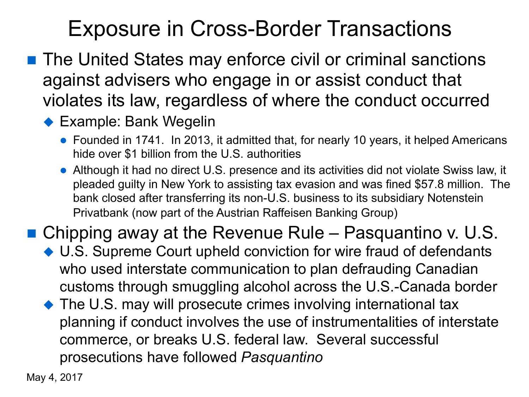#### Exposure in Cross-Border Transactions

■ The United States may enforce civil or criminal sanctions against advisers who engage in or assist conduct that violates its law, regardless of where the conduct occurred

#### $\blacklozenge$  Example: Bank Wegelin

- Founded in 1741. In 2013, it admitted that, for nearly 10 years, it helped Americans hide over \$1 billion from the U.S. authorities
- Although it had no direct U.S. presence and its activities did not violate Swiss law, it pleaded guilty in New York to assisting tax evasion and was fined \$57.8 million. The bank closed after transferring its non-U.S. business to its subsidiary Notenstein Privatbank (now part of the Austrian Raffeisen Banking Group)

**n** Chipping away at the Revenue Rule – Pasquantino v. U.S.

- ◆ U.S. Supreme Court upheld conviction for wire fraud of defendants who used interstate communication to plan defrauding Canadian customs through smuggling alcohol across the U.S.-Canada border
- $\blacklozenge$  The U.S. may will prosecute crimes involving international tax planning if conduct involves the use of instrumentalities of interstate commerce, or breaks U.S. federal law. Several successful prosecutions have followed *Pasquantino*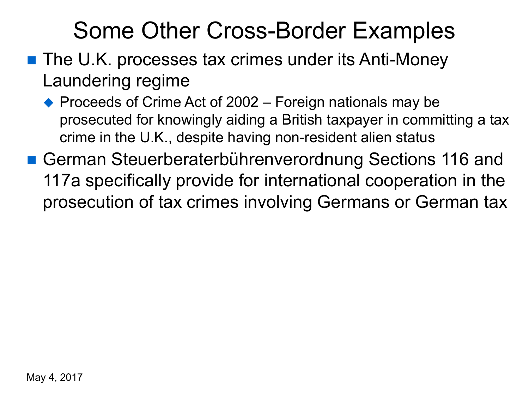### Some Other Cross-Border Examples

- $\blacksquare$  The U.K. processes tax crimes under its Anti-Money Laundering regime
	- $\blacklozenge$  Proceeds of Crime Act of 2002 Foreign nationals may be prosecuted for knowingly aiding a British taxpayer in committing a tax crime in the U.K., despite having non-resident alien status
- German Steuerberaterbührenverordnung Sections 116 and 117a specifically provide for international cooperation in the prosecution of tax crimes involving Germans or German tax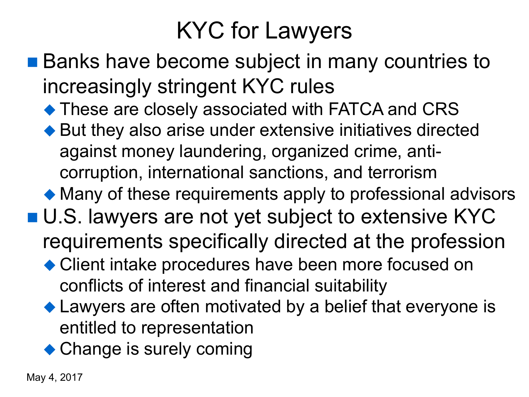## KYC for Lawyers

- Banks have become subject in many countries to increasingly stringent KYC rules
	- $\blacklozenge$  These are closely associated with FATCA and CRS
	- $\blacklozenge$  But they also arise under extensive initiatives directed against money laundering, organized crime, anticorruption, international sanctions, and terrorism
	- $\blacklozenge$  Many of these requirements apply to professional advisors
- U.S. lawyers are not yet subject to extensive KYC
	- requirements specifically directed at the profession
	- Client intake procedures have been more focused on conflicts of interest and financial suitability
	- $\blacklozenge$  Lawyers are often motivated by a belief that everyone is entitled to representation
	- $\triangle$  Change is surely coming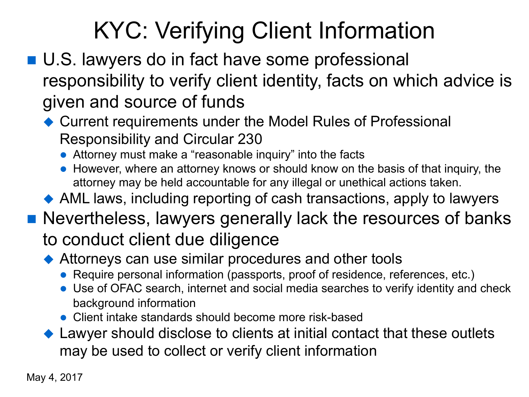# KYC: Verifying Client Information

- U.S. lawyers do in fact have some professional responsibility to verify client identity, facts on which advice is given and source of funds
	- $\triangle$  Current requirements under the Model Rules of Professional Responsibility and Circular 230
		- Attorney must make a "reasonable inquiry" into the facts
		- However, where an attorney knows or should know on the basis of that inquiry, the attorney may be held accountable for any illegal or unethical actions taken.
	- $\triangle$  AML laws, including reporting of cash transactions, apply to lawyers

#### ■ Nevertheless, lawyers generally lack the resources of banks to conduct client due diligence

- $\blacklozenge$  Attorneys can use similar procedures and other tools
	- Require personal information (passports, proof of residence, references, etc.)
	- Use of OFAC search, internet and social media searches to verify identity and check background information
	- Client intake standards should become more risk-based
- $\blacklozenge$  Lawyer should disclose to clients at initial contact that these outlets may be used to collect or verify client information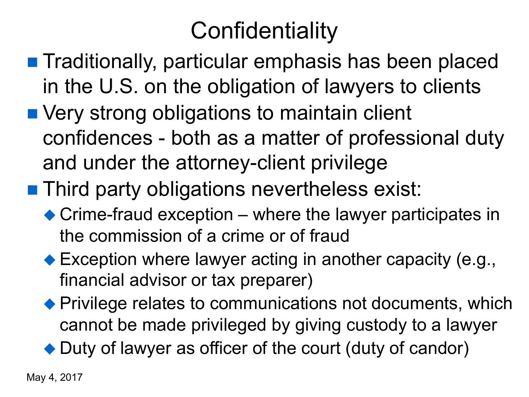# **Confidentiality**

- **n** Traditionally, particular emphasis has been placed in the U.S. on the obligation of lawyers to clients
- Very strong obligations to maintain client confidences - both as a matter of professional duty and under the attorney-client privilege
- **n** Third party obligations nevertheless exist:
	- $\triangle$  Crime-fraud exception where the lawyer participates in the commission of a crime or of fraud
	- $\blacktriangleright$  Exception where lawyer acting in another capacity (e.g., financial advisor or tax preparer)
	- $\blacklozenge$  Privilege relates to communications not documents, which cannot be made privileged by giving custody to a lawyer

 $\rightarrow$  Duty of lawyer as officer of the court (duty of candor)